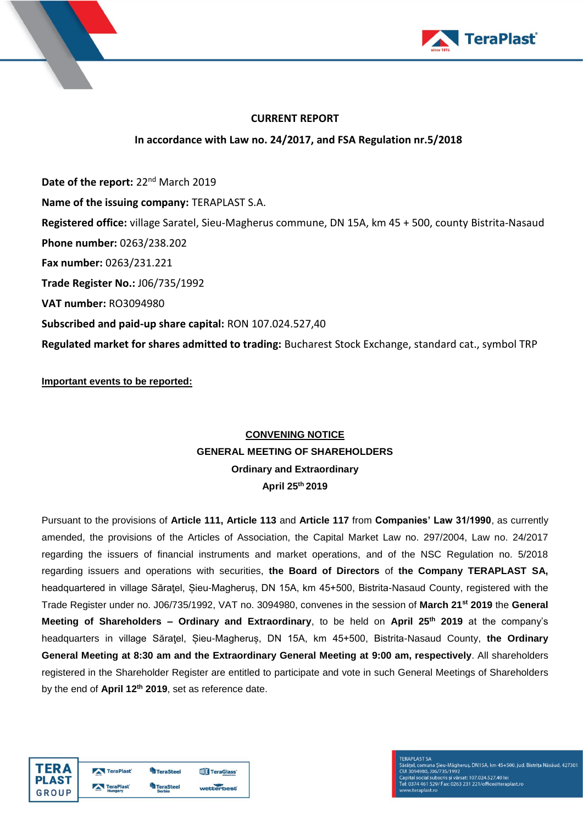



## **CURRENT REPORT**

# **In accordance with Law no. 24/2017, and FSA Regulation nr.5/2018**

Date of the report: 22<sup>nd</sup> March 2019 **Name of the issuing company:** TERAPLAST S.A. **Registered office:** village Saratel, Sieu-Magherus commune, DN 15A, km 45 + 500, county Bistrita-Nasaud **Phone number:** 0263/238.202 **Fax number:** 0263/231.221 **Trade Register No.:** J06/735/1992 **VAT number:** RO3094980 **Subscribed and paid-up share capital:** RON 107.024.527,40 **Regulated market for shares admitted to trading:** Bucharest Stock Exchange, standard cat., symbol TRP

**Important events to be reported:**

# **CONVENING NOTICE GENERAL MEETING OF SHAREHOLDERS Ordinary and Extraordinary April 25 th 2019**

Pursuant to the provisions of **Article 111, Article 113** and **Article 117** from **Companies' Law 31/1990**, as currently amended, the provisions of the Articles of Association, the Capital Market Law no. 297/2004, Law no. 24/2017 regarding the issuers of financial instruments and market operations, and of the NSC Regulation no. 5/2018 regarding issuers and operations with securities, **the Board of Directors** of **the Company TERAPLAST SA,** headquartered in village Săraţel, Șieu-Magheruș, DN 15A, km 45+500, Bistrita-Nasaud County, registered with the Trade Register under no. J06/735/1992, VAT no. 3094980, convenes in the session of **March 21 st 2019** the **General Meeting of Shareholders – Ordinary and Extraordinary**, to be held on **April 25 th 2019** at the company's headquarters in village Săraţel, Șieu-Magheruș, DN 15A, km 45+500, Bistrita-Nasaud County, **the Ordinary General Meeting at 8:30 am and the Extraordinary General Meeting at 9:00 am, respectively**. All shareholders registered in the Shareholder Register are entitled to participate and vote in such General Meetings of Shareholders by the end of **April 12 th 2019**, set as reference date.

| <b>FERA</b>  | TeraPlast | <b>TeraSteel</b> | <b>TIT</b> TeraGlass |
|--------------|-----------|------------------|----------------------|
| PLAST        | TeraPlast | <b>TeraSteel</b> |                      |
| <b>GROUP</b> | Hungary   | <b>Serbia</b>    | wetterbest           |

**FERAPLAST SA** raten Dassen, Malen Mägheruş, DN15A, km 45+500, jud. Bistriţa Năsăud, 427301<br>Jarățel, comuna Șieu-Măgheruș, DN15A, km 45+500, jud. Bistriţa Năsăud, 427301<br>Japital social subscris și vărsat: 107.024.527,40 lei<br>ei: 0374 461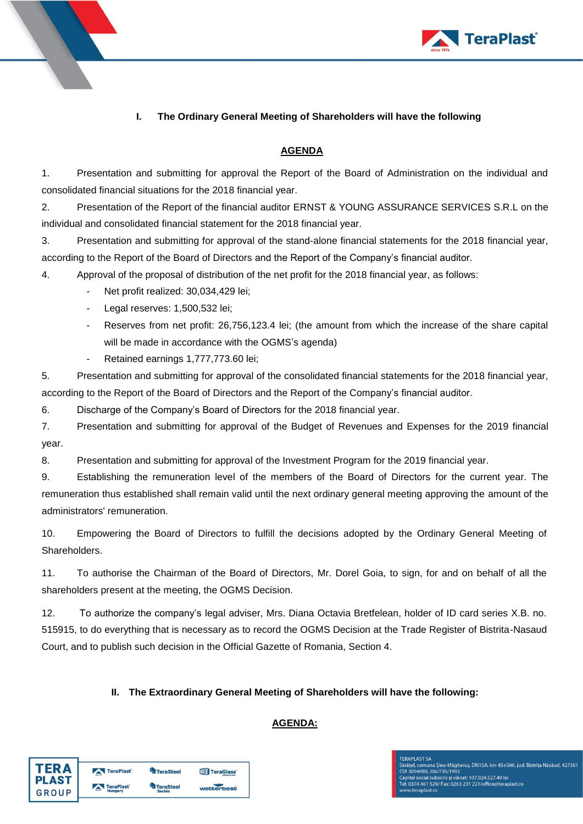

# **I. The Ordinary General Meeting of Shareholders will have the following**

#### **AGENDA**

1. Presentation and submitting for approval the Report of the Board of Administration on the individual and consolidated financial situations for the 2018 financial year.

2. Presentation of the Report of the financial auditor ERNST & YOUNG ASSURANCE SERVICES S.R.L on the individual and consolidated financial statement for the 2018 financial year.

3. Presentation and submitting for approval of the stand-alone financial statements for the 2018 financial year, according to the Report of the Board of Directors and the Report of the Company's financial auditor.

4. Approval of the proposal of distribution of the net profit for the 2018 financial year, as follows:

- Net profit realized: 30,034,429 lei;
- Legal reserves: 1,500,532 lei;
- Reserves from net profit: 26,756,123.4 lei; (the amount from which the increase of the share capital will be made in accordance with the OGMS's agenda)
- Retained earnings 1,777,773.60 lei;

5. Presentation and submitting for approval of the consolidated financial statements for the 2018 financial year, according to the Report of the Board of Directors and the Report of the Company's financial auditor.

6. Discharge of the Company's Board of Directors for the 2018 financial year.

7. Presentation and submitting for approval of the Budget of Revenues and Expenses for the 2019 financial year.

8. Presentation and submitting for approval of the Investment Program for the 2019 financial year.

9. Establishing the remuneration level of the members of the Board of Directors for the current year. The remuneration thus established shall remain valid until the next ordinary general meeting approving the amount of the administrators' remuneration.

10. Empowering the Board of Directors to fulfill the decisions adopted by the Ordinary General Meeting of Shareholders.

11. To authorise the Chairman of the Board of Directors, Mr. Dorel Goia, to sign, for and on behalf of all the shareholders present at the meeting, the OGMS Decision.

12. To authorize the company's legal adviser, Mrs. Diana Octavia Bretfelean, holder of ID card series X.B. no. 515915, to do everything that is necessary as to record the OGMS Decision at the Trade Register of Bistrita-Nasaud Court, and to publish such decision in the Official Gazette of Romania, Section 4.

#### **II. The Extraordinary General Meeting of Shareholders will have the following:**

#### **AGENDA:**

| <b>TERA</b>  | TeraPlast | <b>TeraSteel</b> | <b>TT</b> TeraGlass' |
|--------------|-----------|------------------|----------------------|
| <b>PLAST</b> | TeraPlast | <b>TeraSteel</b> | wetterbest           |
| <b>GROUP</b> | Hungary   | <b>Serbia</b>    |                      |

# **FERAPLAST SA** rasa v. Uroroma Sieu-Mägherus, DN15A, km 45+500, jud. Bistrița Năsăud, 427301<br>Cui 3094980, J06/735/1992<br>Capital social subscris și vărsat: 107.024.527.40 lei<br>Tel: 0374 461 529/ Fax: 0263 231 221/office@teraplast.ro

v.teraplast.ro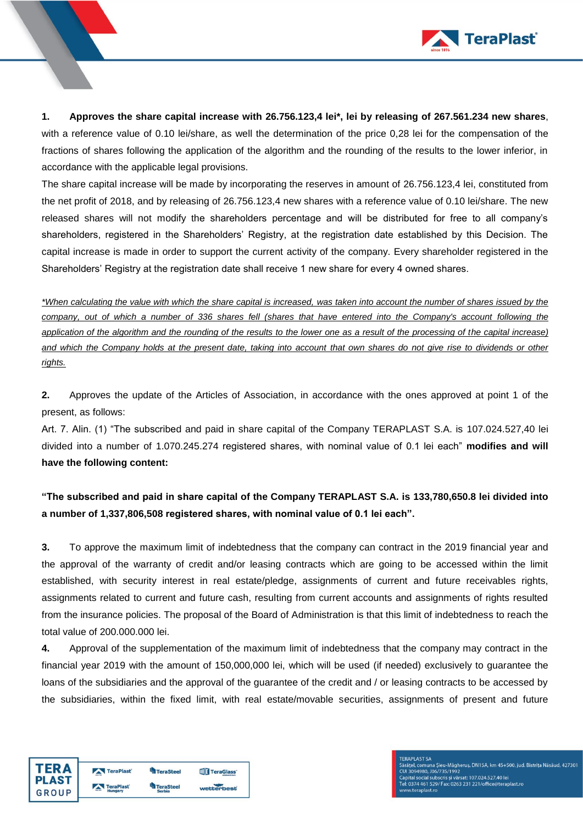

**1. Approves the share capital increase with 26.756.123,4 lei\*, lei by releasing of 267.561.234 new shares**, with a reference value of 0.10 lei/share, as well the determination of the price 0,28 lei for the compensation of the fractions of shares following the application of the algorithm and the rounding of the results to the lower inferior, in accordance with the applicable legal provisions.

The share capital increase will be made by incorporating the reserves in amount of 26.756.123,4 lei, constituted from the net profit of 2018, and by releasing of 26.756.123,4 new shares with a reference value of 0.10 lei/share. The new released shares will not modify the shareholders percentage and will be distributed for free to all company's shareholders, registered in the Shareholders' Registry, at the registration date established by this Decision. The capital increase is made in order to support the current activity of the company. Every shareholder registered in the Shareholders' Registry at the registration date shall receive 1 new share for every 4 owned shares.

*\*When calculating the value with which the share capital is increased, was taken into account the number of shares issued by the company, out of which a number of 336 shares fell (shares that have entered into the Company's account following the application of the algorithm and the rounding of the results to the lower one as a result of the processing of the capital increase) and which the Company holds at the present date, taking into account that own shares do not give rise to dividends or other rights.*

**2.** Approves the update of the Articles of Association, in accordance with the ones approved at point 1 of the present, as follows:

Art. 7. Alin. (1) "The subscribed and paid in share capital of the Company TERAPLAST S.A. is 107.024.527,40 lei divided into a number of 1.070.245.274 registered shares, with nominal value of 0.1 lei each" **modifies and will have the following content:**

**"The subscribed and paid in share capital of the Company TERAPLAST S.A. is 133,780,650.8 lei divided into a number of 1,337,806,508 registered shares, with nominal value of 0.1 lei each".**

**3.** To approve the maximum limit of indebtedness that the company can contract in the 2019 financial year and the approval of the warranty of credit and/or leasing contracts which are going to be accessed within the limit established, with security interest in real estate/pledge, assignments of current and future receivables rights, assignments related to current and future cash, resulting from current accounts and assignments of rights resulted from the insurance policies. The proposal of the Board of Administration is that this limit of indebtedness to reach the total value of 200.000.000 lei.

**4.** Approval of the supplementation of the maximum limit of indebtedness that the company may contract in the financial year 2019 with the amount of 150,000,000 lei, which will be used (if needed) exclusively to guarantee the loans of the subsidiaries and the approval of the guarantee of the credit and / or leasing contracts to be accessed by the subsidiaries, within the fixed limit, with real estate/movable securities, assignments of present and future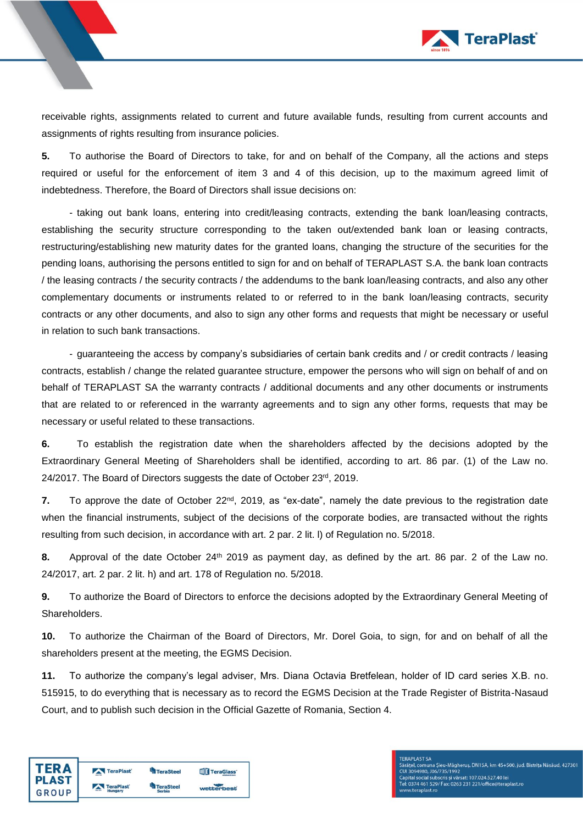

receivable rights, assignments related to current and future available funds, resulting from current accounts and assignments of rights resulting from insurance policies.

**5.** To authorise the Board of Directors to take, for and on behalf of the Company, all the actions and steps required or useful for the enforcement of item 3 and 4 of this decision, up to the maximum agreed limit of indebtedness. Therefore, the Board of Directors shall issue decisions on:

- taking out bank loans, entering into credit/leasing contracts, extending the bank loan/leasing contracts, establishing the security structure corresponding to the taken out/extended bank loan or leasing contracts, restructuring/establishing new maturity dates for the granted loans, changing the structure of the securities for the pending loans, authorising the persons entitled to sign for and on behalf of TERAPLAST S.A. the bank loan contracts / the leasing contracts / the security contracts / the addendums to the bank loan/leasing contracts, and also any other complementary documents or instruments related to or referred to in the bank loan/leasing contracts, security contracts or any other documents, and also to sign any other forms and requests that might be necessary or useful in relation to such bank transactions.

- guaranteeing the access by company's subsidiaries of certain bank credits and / or credit contracts / leasing contracts, establish / change the related guarantee structure, empower the persons who will sign on behalf of and on behalf of TERAPLAST SA the warranty contracts / additional documents and any other documents or instruments that are related to or referenced in the warranty agreements and to sign any other forms, requests that may be necessary or useful related to these transactions.

**6.** To establish the registration date when the shareholders affected by the decisions adopted by the Extraordinary General Meeting of Shareholders shall be identified, according to art. 86 par. (1) of the Law no. 24/2017. The Board of Directors suggests the date of October 23<sup>rd</sup>, 2019.

**7.** To approve the date of October 22nd, 2019, as "ex-date", namely the date previous to the registration date when the financial instruments, subject of the decisions of the corporate bodies, are transacted without the rights resulting from such decision, in accordance with art. 2 par. 2 lit. l) of Regulation no. 5/2018.

**8.** Approval of the date October 24<sup>th</sup> 2019 as payment day, as defined by the art. 86 par. 2 of the Law no. 24/2017, art. 2 par. 2 lit. h) and art. 178 of Regulation no. 5/2018.

**9.** To authorize the Board of Directors to enforce the decisions adopted by the Extraordinary General Meeting of Shareholders.

**10.** To authorize the Chairman of the Board of Directors, Mr. Dorel Goia, to sign, for and on behalf of all the shareholders present at the meeting, the EGMS Decision.

**11.** To authorize the company's legal adviser, Mrs. Diana Octavia Bretfelean, holder of ID card series X.B. no. 515915, to do everything that is necessary as to record the EGMS Decision at the Trade Register of Bistrita-Nasaud Court, and to publish such decision in the Official Gazette of Romania, Section 4.

| <b>TERA</b>  | TeraPlast            | <b>TeraSteel</b>                  | <b>TIT</b> TeraGlass' |
|--------------|----------------------|-----------------------------------|-----------------------|
| <b>PLAST</b> | TeraPlast<br>Hungary | <b>TeraSteel</b><br><b>Serbia</b> | wetterbest            |
| GROUP        |                      |                                   |                       |

## **FERAPLAST SA** rasa v. Uroroma Sieu-Mägherus, DN15A, km 45+500, jud. Bistrița Năsăud, 427301<br>Cui 3094980, J06/735/1992<br>Capital social subscris și vărsat: 107.024.527.40 lei<br>Tel: 0374 461 529/ Fax: 0263 231 221/office@teraplast.ro w.teraplast.ro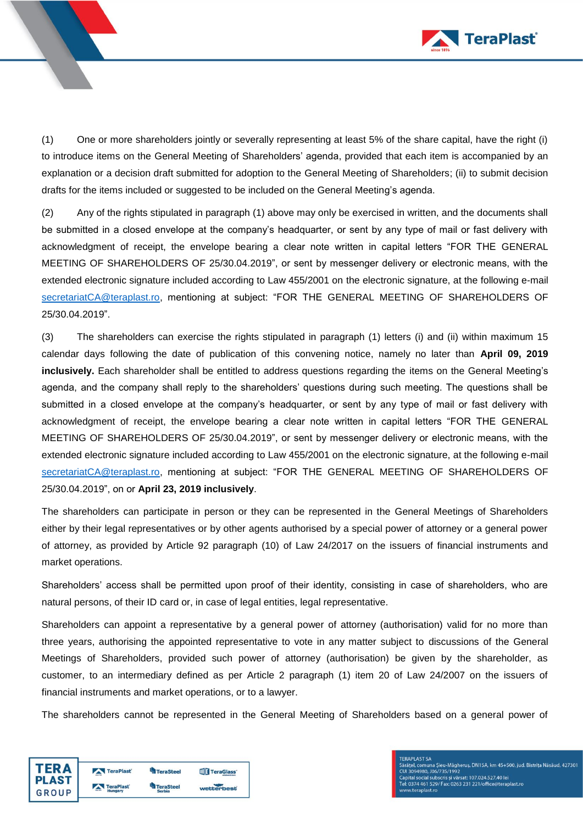

(1) One or more shareholders jointly or severally representing at least 5% of the share capital, have the right (i) to introduce items on the General Meeting of Shareholders' agenda, provided that each item is accompanied by an explanation or a decision draft submitted for adoption to the General Meeting of Shareholders; (ii) to submit decision drafts for the items included or suggested to be included on the General Meeting's agenda.

(2) Any of the rights stipulated in paragraph (1) above may only be exercised in written, and the documents shall be submitted in a closed envelope at the company's headquarter, or sent by any type of mail or fast delivery with acknowledgment of receipt, the envelope bearing a clear note written in capital letters "FOR THE GENERAL MEETING OF SHAREHOLDERS OF 25/30.04.2019", or sent by messenger delivery or electronic means, with the extended electronic signature included according to Law 455/2001 on the electronic signature, at the following e-mail [secretariatCA@teraplast.ro,](mailto:secretariatCA@teraplast.ro) mentioning at subject: "FOR THE GENERAL MEETING OF SHAREHOLDERS OF 25/30.04.2019".

(3) The shareholders can exercise the rights stipulated in paragraph (1) letters (i) and (ii) within maximum 15 calendar days following the date of publication of this convening notice, namely no later than **April 09, 2019 inclusively.** Each shareholder shall be entitled to address questions regarding the items on the General Meeting's agenda, and the company shall reply to the shareholders' questions during such meeting. The questions shall be submitted in a closed envelope at the company's headquarter, or sent by any type of mail or fast delivery with acknowledgment of receipt, the envelope bearing a clear note written in capital letters "FOR THE GENERAL MEETING OF SHAREHOLDERS OF 25/30.04.2019", or sent by messenger delivery or electronic means, with the extended electronic signature included according to Law 455/2001 on the electronic signature, at the following e-mail [secretariatCA@teraplast.ro,](mailto:secretariatCA@teraplast.ro) mentioning at subject: "FOR THE GENERAL MEETING OF SHAREHOLDERS OF 25/30.04.2019", on or **April 23, 2019 inclusively**.

The shareholders can participate in person or they can be represented in the General Meetings of Shareholders either by their legal representatives or by other agents authorised by a special power of attorney or a general power of attorney, as provided by Article 92 paragraph (10) of Law 24/2017 on the issuers of financial instruments and market operations.

Shareholders' access shall be permitted upon proof of their identity, consisting in case of shareholders, who are natural persons, of their ID card or, in case of legal entities, legal representative.

Shareholders can appoint a representative by a general power of attorney (authorisation) valid for no more than three years, authorising the appointed representative to vote in any matter subject to discussions of the General Meetings of Shareholders, provided such power of attorney (authorisation) be given by the shareholder, as customer, to an intermediary defined as per Article 2 paragraph (1) item 20 of Law 24/2007 on the issuers of financial instruments and market operations, or to a lawyer.

The shareholders cannot be represented in the General Meeting of Shareholders based on a general power of

| <b>TERA</b>  | TeraPlast | TeraSteel       | TeraGlass <sup>®</sup> |  |
|--------------|-----------|-----------------|------------------------|--|
| <b>PLAST</b> | TeraPlast | <b>TeraStee</b> |                        |  |
| <b>GROUP</b> | Hungary   | <b>Serbia</b>   | wetterbest             |  |

**FERAPLAST SA** rasa v. Uroroma Sieu-Māgherus, DN15A, km 45+500, jud. Bistrița Năsăud, 427301<br>Cul 3094980, J06/735/1992<br>Capital social subscris și vărsat: 107.024.527.40 lei<br>Tel: 0374 461 529/ Fax: 0263 231 221/office@teraplast.ro w.teraplast.ro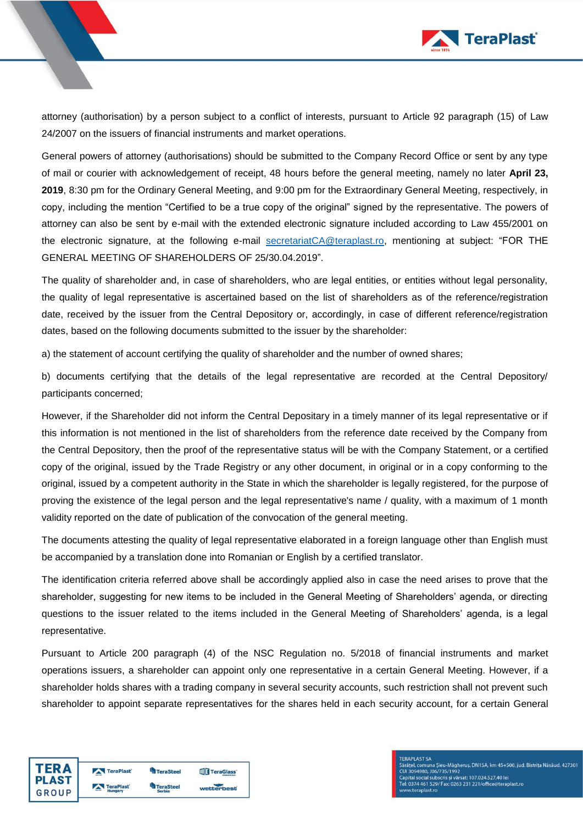

attorney (authorisation) by a person subject to a conflict of interests, pursuant to Article 92 paragraph (15) of Law 24/2007 on the issuers of financial instruments and market operations.

General powers of attorney (authorisations) should be submitted to the Company Record Office or sent by any type of mail or courier with acknowledgement of receipt, 48 hours before the general meeting, namely no later **April 23, 2019**, 8:30 pm for the Ordinary General Meeting, and 9:00 pm for the Extraordinary General Meeting, respectively, in copy, including the mention "Certified to be a true copy of the original" signed by the representative. The powers of attorney can also be sent by e-mail with the extended electronic signature included according to Law 455/2001 on the electronic signature, at the following e-mail [secretariatCA@teraplast.ro,](mailto:secretariatCA@teraplast.ro) mentioning at subject: "FOR THE GENERAL MEETING OF SHAREHOLDERS OF 25/30.04.2019".

The quality of shareholder and, in case of shareholders, who are legal entities, or entities without legal personality, the quality of legal representative is ascertained based on the list of shareholders as of the reference/registration date, received by the issuer from the Central Depository or, accordingly, in case of different reference/registration dates, based on the following documents submitted to the issuer by the shareholder:

a) the statement of account certifying the quality of shareholder and the number of owned shares;

b) documents certifying that the details of the legal representative are recorded at the Central Depository/ participants concerned;

However, if the Shareholder did not inform the Central Depositary in a timely manner of its legal representative or if this information is not mentioned in the list of shareholders from the reference date received by the Company from the Central Depository, then the proof of the representative status will be with the Company Statement, or a certified copy of the original, issued by the Trade Registry or any other document, in original or in a copy conforming to the original, issued by a competent authority in the State in which the shareholder is legally registered, for the purpose of proving the existence of the legal person and the legal representative's name / quality, with a maximum of 1 month validity reported on the date of publication of the convocation of the general meeting.

The documents attesting the quality of legal representative elaborated in a foreign language other than English must be accompanied by a translation done into Romanian or English by a certified translator.

The identification criteria referred above shall be accordingly applied also in case the need arises to prove that the shareholder, suggesting for new items to be included in the General Meeting of Shareholders' agenda, or directing questions to the issuer related to the items included in the General Meeting of Shareholders' agenda, is a legal representative.

Pursuant to Article 200 paragraph (4) of the NSC Regulation no. 5/2018 of financial instruments and market operations issuers, a shareholder can appoint only one representative in a certain General Meeting. However, if a shareholder holds shares with a trading company in several security accounts, such restriction shall not prevent such shareholder to appoint separate representatives for the shares held in each security account, for a certain General

| <b>TERA</b>  | TeraPlast | <b>TeraSteel</b> | <b>THE TeraGlass</b> |
|--------------|-----------|------------------|----------------------|
| <b>PLAST</b> | TeraPlast | <b>TeraSteel</b> |                      |
| GROUP        | Hungary   | <b>Serbia</b>    | wetterbest           |

## **FERAPLAST SA** rasa v. Uroroma Sieu-Mägherus, DN15A, km 45+500, jud. Bistrița Năsăud, 427301<br>Cui 3094980, J06/735/1992<br>Capital social subscris și vărsat: 107.024.527.40 lei<br>Tel: 0374 461 529/ Fax: 0263 231 221/office@teraplast.ro w.teraplast.ro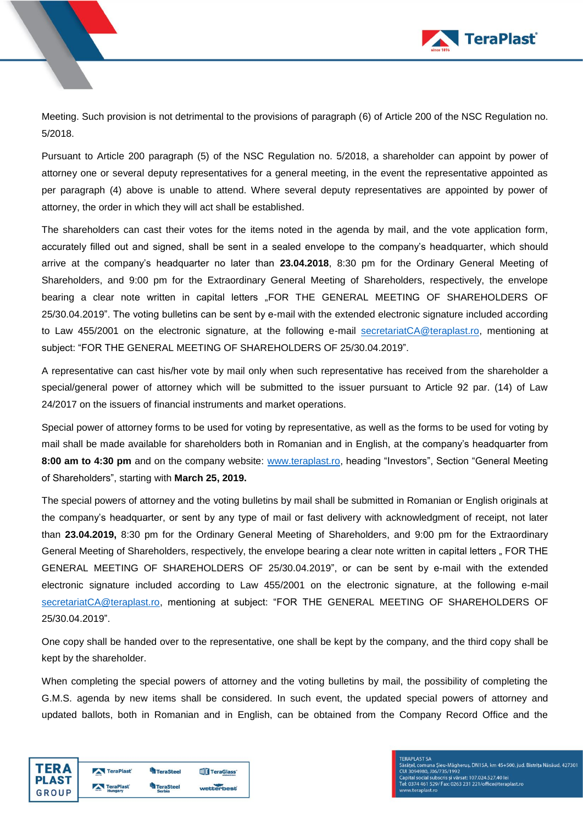

Meeting. Such provision is not detrimental to the provisions of paragraph (6) of Article 200 of the NSC Regulation no. 5/2018.

Pursuant to Article 200 paragraph (5) of the NSC Regulation no. 5/2018, a shareholder can appoint by power of attorney one or several deputy representatives for a general meeting, in the event the representative appointed as per paragraph (4) above is unable to attend. Where several deputy representatives are appointed by power of attorney, the order in which they will act shall be established.

The shareholders can cast their votes for the items noted in the agenda by mail, and the vote application form, accurately filled out and signed, shall be sent in a sealed envelope to the company's headquarter, which should arrive at the company's headquarter no later than **23.04.2018**, 8:30 pm for the Ordinary General Meeting of Shareholders, and 9:00 pm for the Extraordinary General Meeting of Shareholders, respectively, the envelope bearing a clear note written in capital letters "FOR THE GENERAL MEETING OF SHAREHOLDERS OF 25/30.04.2019". The voting bulletins can be sent by e-mail with the extended electronic signature included according to Law 455/2001 on the electronic signature, at the following e-mail [secretariatCA@teraplast.ro,](mailto:secretariatCA@teraplast.ro) mentioning at subject: "FOR THE GENERAL MEETING OF SHAREHOLDERS OF 25/30.04.2019".

A representative can cast his/her vote by mail only when such representative has received from the shareholder a special/general power of attorney which will be submitted to the issuer pursuant to Article 92 par. (14) of Law 24/2017 on the issuers of financial instruments and market operations.

Special power of attorney forms to be used for voting by representative, as well as the forms to be used for voting by mail shall be made available for shareholders both in Romanian and in English, at the company's headquarter from **8:00 am to 4:30 pm** and on the company website: [www.teraplast.ro,](http://www.teraplast.ro/) heading "Investors", Section "General Meeting of Shareholders", starting with **March 25, 2019.**

The special powers of attorney and the voting bulletins by mail shall be submitted in Romanian or English originals at the company's headquarter, or sent by any type of mail or fast delivery with acknowledgment of receipt, not later than **23.04.2019,** 8:30 pm for the Ordinary General Meeting of Shareholders, and 9:00 pm for the Extraordinary General Meeting of Shareholders, respectively, the envelope bearing a clear note written in capital letters " FOR THE GENERAL MEETING OF SHAREHOLDERS OF 25/30.04.2019", or can be sent by e-mail with the extended electronic signature included according to Law 455/2001 on the electronic signature, at the following e-mail [secretariatCA@teraplast.ro,](mailto:secretariatCA@teraplast.ro) mentioning at subject: "FOR THE GENERAL MEETING OF SHAREHOLDERS OF 25/30.04.2019".

One copy shall be handed over to the representative, one shall be kept by the company, and the third copy shall be kept by the shareholder.

When completing the special powers of attorney and the voting bulletins by mail, the possibility of completing the G.M.S. agenda by new items shall be considered. In such event, the updated special powers of attorney and updated ballots, both in Romanian and in English, can be obtained from the Company Record Office and the

| <b>TERA</b>  | TeraPlast | TeraSteel       | TeraGlass <sup>®</sup> |
|--------------|-----------|-----------------|------------------------|
| <b>PLAST</b> | TeraPlast | <b>TeraStee</b> |                        |
| <b>GROUP</b> | Hungary   | <b>Serbia</b>   | wetterbest             |

**FERAPLAST SA** rasa v. Uroroma Sieu-Māgherus, DN15A, km 45+500, jud. Bistrița Năsăud, 427301<br>Cul 3094980, J06/735/1992<br>Capital social subscris și vărsat: 107.024.527.40 lei<br>Tel: 0374 461 529/ Fax: 0263 231 221/office@teraplast.ro w.teraplast.ro